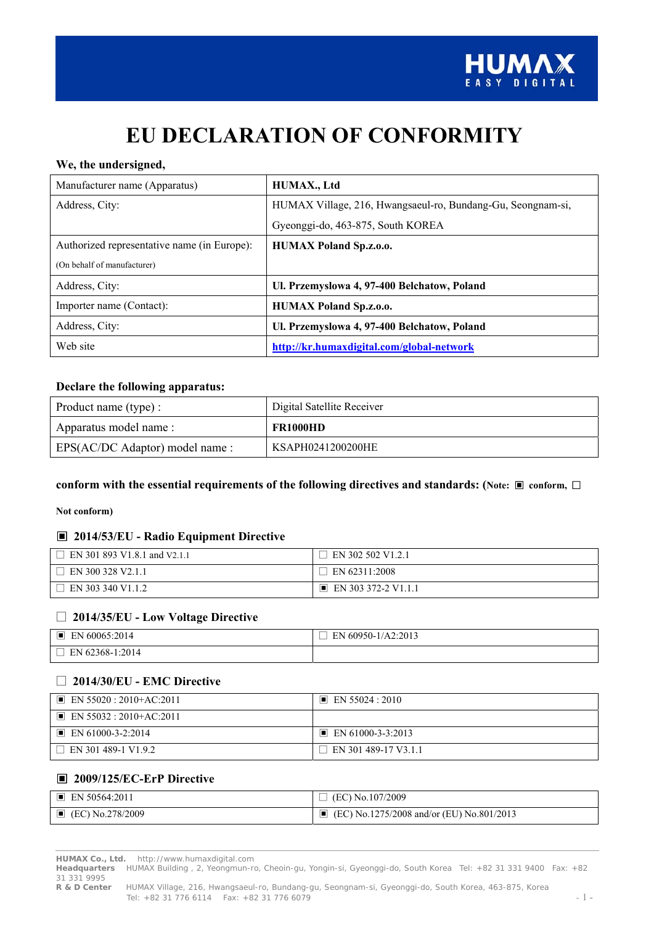

# **EU DECLARATION OF CONFORMITY**

#### **We, the undersigned,**

| Manufacturer name (Apparatus)               | HUMAX., Ltd                                                 |
|---------------------------------------------|-------------------------------------------------------------|
| Address, City:                              | HUMAX Village, 216, Hwangsaeul-ro, Bundang-Gu, Seongnam-si, |
|                                             | Gyeonggi-do, 463-875, South KOREA                           |
| Authorized representative name (in Europe): | <b>HUMAX Poland Sp.z.o.o.</b>                               |
| (On behalf of manufacturer)                 |                                                             |
| Address, City:                              | Ul. Przemyslowa 4, 97-400 Belchatow, Poland                 |
| Importer name (Contact):                    | <b>HUMAX Poland Sp.z.o.o.</b>                               |
| Address, City:                              | Ul. Przemyslowa 4, 97-400 Belchatow, Poland                 |
| Web site                                    | http://kr.humaxdigital.com/global-network                   |

#### **Declare the following apparatus:**

| Product name (type) :           | Digital Satellite Receiver |
|---------------------------------|----------------------------|
| Apparatus model name:           | <b>FR1000HD</b>            |
| EPS(AC/DC Adaptor) model name : | KSAPH0241200200HE          |

#### **conform with the essential requirements of the following directives and standards: (Note:** ▣ **conform,** □

#### **Not conform)**

#### ▣ **2014/53/EU - Radio Equipment Directive**

| $\Box$ EN 301 893 V1.8.1 and V2.1.1 | EN 302 502 V1.2.1                  |
|-------------------------------------|------------------------------------|
| $\Box$ EN 300 328 V2.1.1            | EN 62311:2008                      |
| EN 303 340 V1.1.2                   | $\blacksquare$ EN 303 372-2 V1.1.1 |

#### □ **2014/35/EU - Low Voltage Directive**

| ▐<br>60065:2014<br>EN   | I 60950-1/A2:2013<br>ΕN |
|-------------------------|-------------------------|
| $162368 - 1:2014$<br>EN |                         |

#### □ **2014/30/EU - EMC Directive**

| $\blacksquare$ EN 55020 : 2010+AC:2011 | $\blacksquare$ EN 55024 : 2010   |
|----------------------------------------|----------------------------------|
| $\blacksquare$ EN 55032 : 2010+AC:2011 |                                  |
| $\blacksquare$ EN 61000-3-2:2014       | $\blacksquare$ EN 61000-3-3:2013 |
| $\Box$ EN 301 489-1 V1.9.2             | $\Box$ EN 301 489-17 V3.1.1      |

#### ▣ **2009/125/EC-ErP Directive**

| $\blacksquare$ EN 50564:2011    | $\Box$ (EC) No.107/2009                          |
|---------------------------------|--------------------------------------------------|
| $\blacksquare$ (EC) No.278/2009 | $\Box$ (EC) No.1275/2008 and/or (EU) No.801/2013 |

**HUMAX Co., Ltd.** http://www.humaxdigital.com

**Headquarters** HUMAX Building , 2, Yeongmun-ro, Cheoin-gu, Yongin-si, Gyeonggi-do, South Korea Tel: +82 31 331 9400 Fax: +82 31 331 9995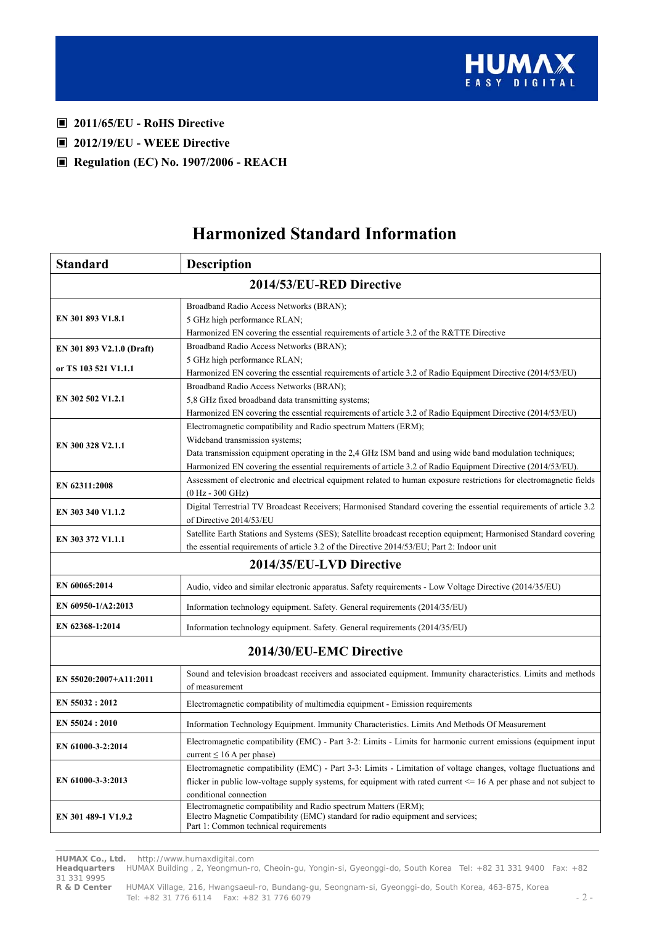

- ▣ **2011/65/EU RoHS Directive**
- ▣ **2012/19/EU WEEE Directive**
- ▣ **Regulation (EC) No. 1907/2006 REACH**

# **Harmonized Standard Information**

| <b>Standard</b>                           | <b>Description</b>                                                                                                                                                                                                                                                                                                           |  |
|-------------------------------------------|------------------------------------------------------------------------------------------------------------------------------------------------------------------------------------------------------------------------------------------------------------------------------------------------------------------------------|--|
|                                           | 2014/53/EU-RED Directive                                                                                                                                                                                                                                                                                                     |  |
| EN 301 893 V1.8.1                         | Broadband Radio Access Networks (BRAN);<br>5 GHz high performance RLAN;<br>Harmonized EN covering the essential requirements of article 3.2 of the R&TTE Directive                                                                                                                                                           |  |
| EN 301 893 V2.1.0 (Draft)                 | Broadband Radio Access Networks (BRAN);<br>5 GHz high performance RLAN;                                                                                                                                                                                                                                                      |  |
| or TS 103 521 V1.1.1<br>EN 302 502 V1.2.1 | Harmonized EN covering the essential requirements of article 3.2 of Radio Equipment Directive (2014/53/EU)<br>Broadband Radio Access Networks (BRAN);<br>5,8 GHz fixed broadband data transmitting systems;<br>Harmonized EN covering the essential requirements of article 3.2 of Radio Equipment Directive (2014/53/EU)    |  |
| EN 300 328 V2.1.1                         | Electromagnetic compatibility and Radio spectrum Matters (ERM);<br>Wideband transmission systems;<br>Data transmission equipment operating in the 2,4 GHz ISM band and using wide band modulation techniques;<br>Harmonized EN covering the essential requirements of article 3.2 of Radio Equipment Directive (2014/53/EU). |  |
| EN 62311:2008                             | Assessment of electronic and electrical equipment related to human exposure restrictions for electromagnetic fields<br>$(0 Hz - 300 GHz)$                                                                                                                                                                                    |  |
| EN 303 340 V1.1.2                         | Digital Terrestrial TV Broadcast Receivers; Harmonised Standard covering the essential requirements of article 3.2<br>of Directive 2014/53/EU                                                                                                                                                                                |  |
| EN 303 372 V1.1.1                         | Satellite Earth Stations and Systems (SES); Satellite broadcast reception equipment; Harmonised Standard covering<br>the essential requirements of article 3.2 of the Directive 2014/53/EU; Part 2: Indoor unit                                                                                                              |  |
|                                           | 2014/35/EU-LVD Directive                                                                                                                                                                                                                                                                                                     |  |
| EN 60065:2014                             | Audio, video and similar electronic apparatus. Safety requirements - Low Voltage Directive (2014/35/EU)                                                                                                                                                                                                                      |  |
| EN 60950-1/A2:2013                        | Information technology equipment. Safety. General requirements (2014/35/EU)                                                                                                                                                                                                                                                  |  |
| EN 62368-1:2014                           | Information technology equipment. Safety. General requirements (2014/35/EU)                                                                                                                                                                                                                                                  |  |
|                                           | 2014/30/EU-EMC Directive                                                                                                                                                                                                                                                                                                     |  |
| EN 55020:2007+A11:2011                    | Sound and television broadcast receivers and associated equipment. Immunity characteristics. Limits and methods<br>of measurement                                                                                                                                                                                            |  |
| EN 55032 : 2012                           | Electromagnetic compatibility of multimedia equipment - Emission requirements                                                                                                                                                                                                                                                |  |
| EN 55024 : 2010                           | Information Technology Equipment. Immunity Characteristics. Limits And Methods Of Measurement                                                                                                                                                                                                                                |  |
| EN 61000-3-2:2014                         | Electromagnetic compatibility (EMC) - Part 3-2: Limits - Limits for harmonic current emissions (equipment input<br>current $\leq 16$ A per phase)                                                                                                                                                                            |  |
| EN 61000-3-3:2013                         | Electromagnetic compatibility (EMC) - Part 3-3: Limits - Limitation of voltage changes, voltage fluctuations and<br>flicker in public low-voltage supply systems, for equipment with rated current <= 16 A per phase and not subject to<br>conditional connection                                                            |  |
| EN 301 489-1 V1.9.2                       | Electromagnetic compatibility and Radio spectrum Matters (ERM);<br>Electro Magnetic Compatibility (EMC) standard for radio equipment and services;<br>Part 1: Common technical requirements                                                                                                                                  |  |

**HUMAX Co., Ltd.** http://www.humaxdigital.com

**Headquarters** HUMAX Building , 2, Yeongmun-ro, Cheoin-gu, Yongin-si, Gyeonggi-do, South Korea Tel: +82 31 331 9400 Fax: +82 31 331 9995

**R & D Center** HUMAX Village, 216, Hwangsaeul-ro, Bundang-gu, Seongnam-si, Gyeonggi-do, South Korea, 463-875, Korea Tel: +82 31 776 6114 Fax: +82 31 776 6079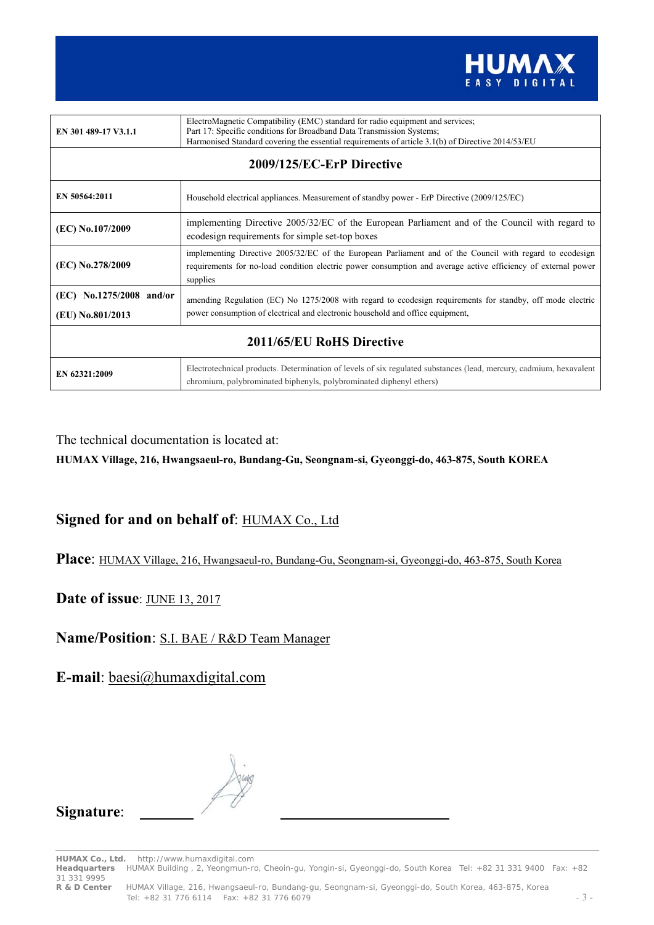

| EN 301 489-17 V3.1.1                         | ElectroMagnetic Compatibility (EMC) standard for radio equipment and services;<br>Part 17: Specific conditions for Broadband Data Transmission Systems;<br>Harmonised Standard covering the essential requirements of article 3.1(b) of Directive 2014/53/EU |
|----------------------------------------------|--------------------------------------------------------------------------------------------------------------------------------------------------------------------------------------------------------------------------------------------------------------|
| 2009/125/EC-ErP Directive                    |                                                                                                                                                                                                                                                              |
| EN 50564:2011                                | Household electrical appliances. Measurement of standby power - ErP Directive (2009/125/EC)                                                                                                                                                                  |
| (EC) No.107/2009                             | implementing Directive 2005/32/EC of the European Parliament and of the Council with regard to<br>ecodesign requirements for simple set-top boxes                                                                                                            |
| (EC) No.278/2009                             | implementing Directive 2005/32/EC of the European Parliament and of the Council with regard to ecodesign<br>requirements for no-load condition electric power consumption and average active efficiency of external power<br>supplies                        |
| (EC) No.1275/2008 and/or<br>(EU) No.801/2013 | amending Regulation (EC) No 1275/2008 with regard to ecodesign requirements for standby, off mode electric<br>power consumption of electrical and electronic household and office equipment,                                                                 |
| 2011/65/EU RoHS Directive                    |                                                                                                                                                                                                                                                              |
| EN 62321:2009                                | Electrotechnical products. Determination of levels of six regulated substances (lead, mercury, cadmium, hexavalent<br>chromium, polybrominated biphenyls, polybrominated diphenyl ethers)                                                                    |

The technical documentation is located at:

**HUMAX Village, 216, Hwangsaeul-ro, Bundang-Gu, Seongnam-si, Gyeonggi-do, 463-875, South KOREA** 

## Signed for and on behalf of: **HUMAX Co., Ltd**

**Place**: HUMAX Village, 216, Hwangsaeul-ro, Bundang-Gu, Seongnam-si, Gyeonggi-do, 463-875, South Korea

### **Date of issue**: JUNE 13, 2017

## **Name/Position**: S.I. BAE / R&D Team Manager

**E-mail**: baesi@humaxdigital.com



### **Signature**:

**HUMAX Co., Ltd.** http://www.humaxdigital.com

**Headquarters** HUMAX Building , 2, Yeongmun-ro, Cheoin-gu, Yongin-si, Gyeonggi-do, South Korea Tel: +82 31 331 9400 Fax: +82 31 331 9995